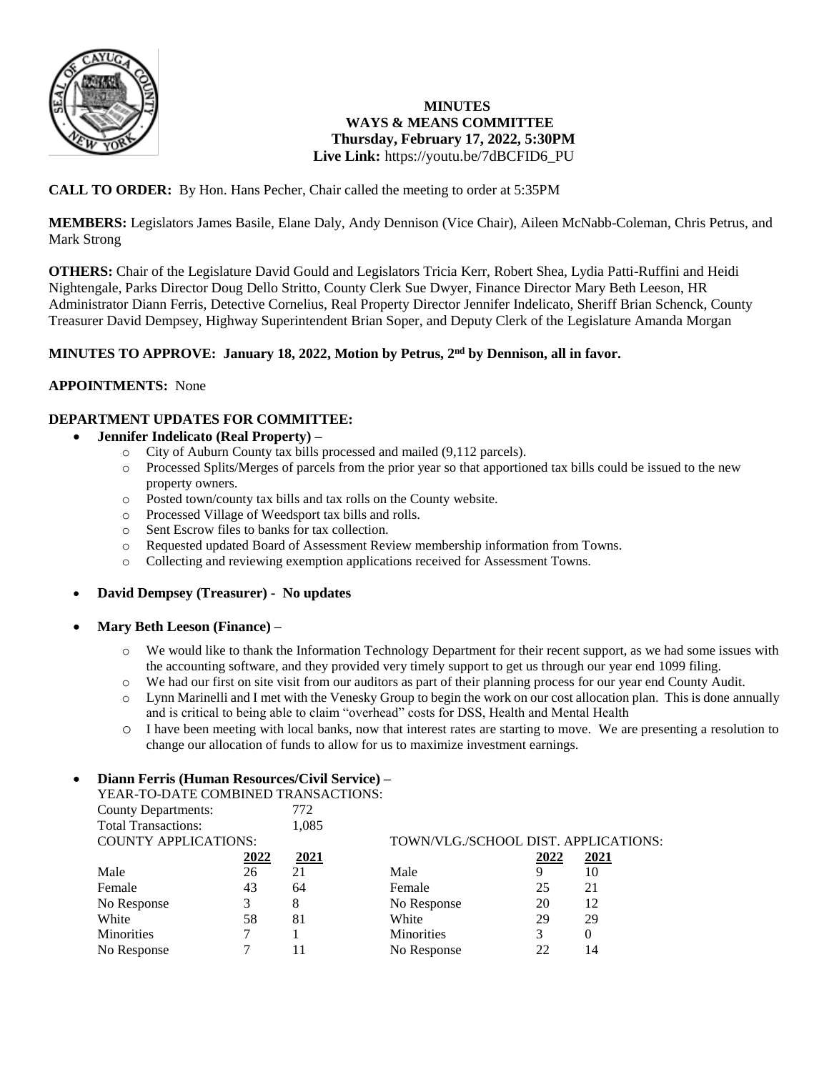

# **MINUTES WAYS & MEANS COMMITTEE Thursday, February 17, 2022, 5:30PM Live Link:** [https://youtu.be/7dBCFID6\\_PU](https://youtu.be/7dBCFID6_PU)

# **CALL TO ORDER:** By Hon. Hans Pecher, Chair called the meeting to order at 5:35PM

**MEMBERS:** Legislators James Basile, Elane Daly, Andy Dennison (Vice Chair), Aileen McNabb-Coleman, Chris Petrus, and Mark Strong

**OTHERS:** Chair of the Legislature David Gould and Legislators Tricia Kerr, Robert Shea, Lydia Patti-Ruffini and Heidi Nightengale, Parks Director Doug Dello Stritto, County Clerk Sue Dwyer, Finance Director Mary Beth Leeson, HR Administrator Diann Ferris, Detective Cornelius, Real Property Director Jennifer Indelicato, Sheriff Brian Schenck, County Treasurer David Dempsey, Highway Superintendent Brian Soper, and Deputy Clerk of the Legislature Amanda Morgan

## **MINUTES TO APPROVE: January 18, 2022, Motion by Petrus, 2nd by Dennison, all in favor.**

#### **APPOINTMENTS:** None

## **DEPARTMENT UPDATES FOR COMMITTEE:**

- **Jennifer Indelicato (Real Property) –**
	- o City of Auburn County tax bills processed and mailed (9,112 parcels).
	- Processed Splits/Merges of parcels from the prior year so that apportioned tax bills could be issued to the new property owners.
	- o Posted town/county tax bills and tax rolls on the County website.
	- o Processed Village of Weedsport tax bills and rolls.
	- o Sent Escrow files to banks for tax collection.
	- o Requested updated Board of Assessment Review membership information from Towns.
	- o Collecting and reviewing exemption applications received for Assessment Towns.

#### **David Dempsey (Treasurer) - No updates**

- **Mary Beth Leeson (Finance) –**
	- o We would like to thank the Information Technology Department for their recent support, as we had some issues with the accounting software, and they provided very timely support to get us through our year end 1099 filing.
	- o We had our first on site visit from our auditors as part of their planning process for our year end County Audit.
	- o Lynn Marinelli and I met with the Venesky Group to begin the work on our cost allocation plan. This is done annually and is critical to being able to claim "overhead" costs for DSS, Health and Mental Health
	- o I have been meeting with local banks, now that interest rates are starting to move. We are presenting a resolution to change our allocation of funds to allow for us to maximize investment earnings.

#### **Diann Ferris (Human Resources/Civil Service) –**

| YEAR-TO-DATE COMBINED TRANSACTIONS: |      |       |                                      |      |          |  |
|-------------------------------------|------|-------|--------------------------------------|------|----------|--|
| <b>County Departments:</b>          |      | 772   |                                      |      |          |  |
| <b>Total Transactions:</b>          |      | 1,085 |                                      |      |          |  |
| <b>COUNTY APPLICATIONS:</b>         |      |       | TOWN/VLG./SCHOOL DIST. APPLICATIONS: |      |          |  |
|                                     | 2022 | 2021  |                                      | 2022 | 2021     |  |
| Male                                | 26   | 21    | Male                                 | 9    | 10       |  |
| Female                              | 43   | 64    | Female                               | 25   | 21       |  |
| No Response                         | 3    | 8     | No Response                          | 20   | 12       |  |
| White                               | 58   | 81    | White                                | 29   | 29       |  |
| Minorities                          |      |       | <b>Minorities</b>                    | 3    | $\theta$ |  |
| No Response                         |      |       | No Response                          | 22   | 14       |  |
|                                     |      |       |                                      |      |          |  |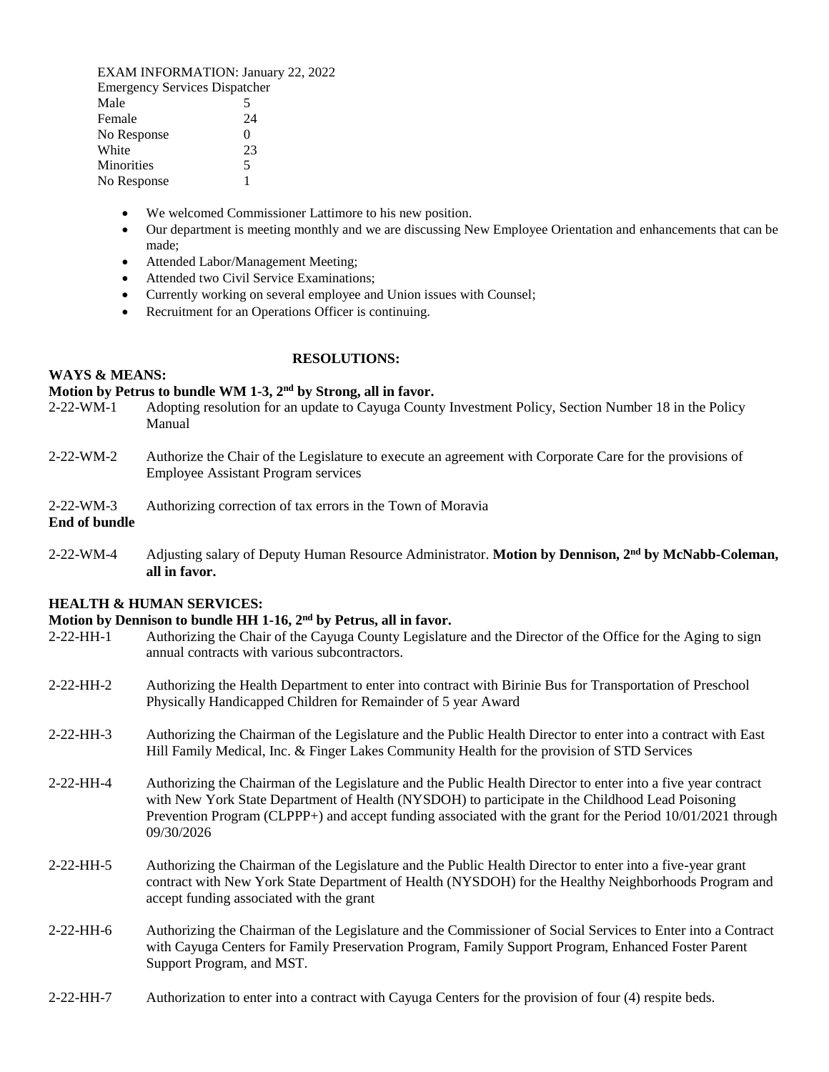EXAM INFORMATION: January 22, 2022 Emergency Services Dispatcher Male 5 Female 24 No Response 0 White 23 Minorities 5 No Response 1

- We welcomed Commissioner Lattimore to his new position.
- Our department is meeting monthly and we are discussing New Employee Orientation and enhancements that can be made;
- Attended Labor/Management Meeting;
- Attended two Civil Service Examinations;
- Currently working on several employee and Union issues with Counsel;
- Recruitment for an Operations Officer is continuing.

## **RESOLUTIONS:**

#### **Motion by Petrus to bundle WM 1-3, 2nd by Strong, all in favor.**

- 2-22-WM-1 Adopting resolution for an update to Cayuga County Investment Policy, Section Number 18 in the Policy Manual
- 2-22-WM-2 Authorize the Chair of the Legislature to execute an agreement with Corporate Care for the provisions of Employee Assistant Program services
- 2-22-WM-3 Authorizing correction of tax errors in the Town of Moravia

**End of bundle** 

**WAYS & MEANS:** 

2-22-WM-4 Adjusting salary of Deputy Human Resource Administrator. **Motion by Dennison, 2nd by McNabb-Coleman, all in favor.** 

#### **HEALTH & HUMAN SERVICES:**

## **Motion by Dennison to bundle HH 1-16, 2nd by Petrus, all in favor.**

- 2-22-HH-1 Authorizing the Chair of the Cayuga County Legislature and the Director of the Office for the Aging to sign annual contracts with various subcontractors.
- 2-22-HH-2 Authorizing the Health Department to enter into contract with Birinie Bus for Transportation of Preschool Physically Handicapped Children for Remainder of 5 year Award
- 2-22-HH-3 Authorizing the Chairman of the Legislature and the Public Health Director to enter into a contract with East Hill Family Medical, Inc. & Finger Lakes Community Health for the provision of STD Services
- 2-22-HH-4 Authorizing the Chairman of the Legislature and the Public Health Director to enter into a five year contract with New York State Department of Health (NYSDOH) to participate in the Childhood Lead Poisoning Prevention Program (CLPPP+) and accept funding associated with the grant for the Period 10/01/2021 through 09/30/2026
- 2-22-HH-5 Authorizing the Chairman of the Legislature and the Public Health Director to enter into a five-year grant contract with New York State Department of Health (NYSDOH) for the Healthy Neighborhoods Program and accept funding associated with the grant
- 2-22-HH-6 Authorizing the Chairman of the Legislature and the Commissioner of Social Services to Enter into a Contract with Cayuga Centers for Family Preservation Program, Family Support Program, Enhanced Foster Parent Support Program, and MST.
- 2-22-HH-7 Authorization to enter into a contract with Cayuga Centers for the provision of four (4) respite beds.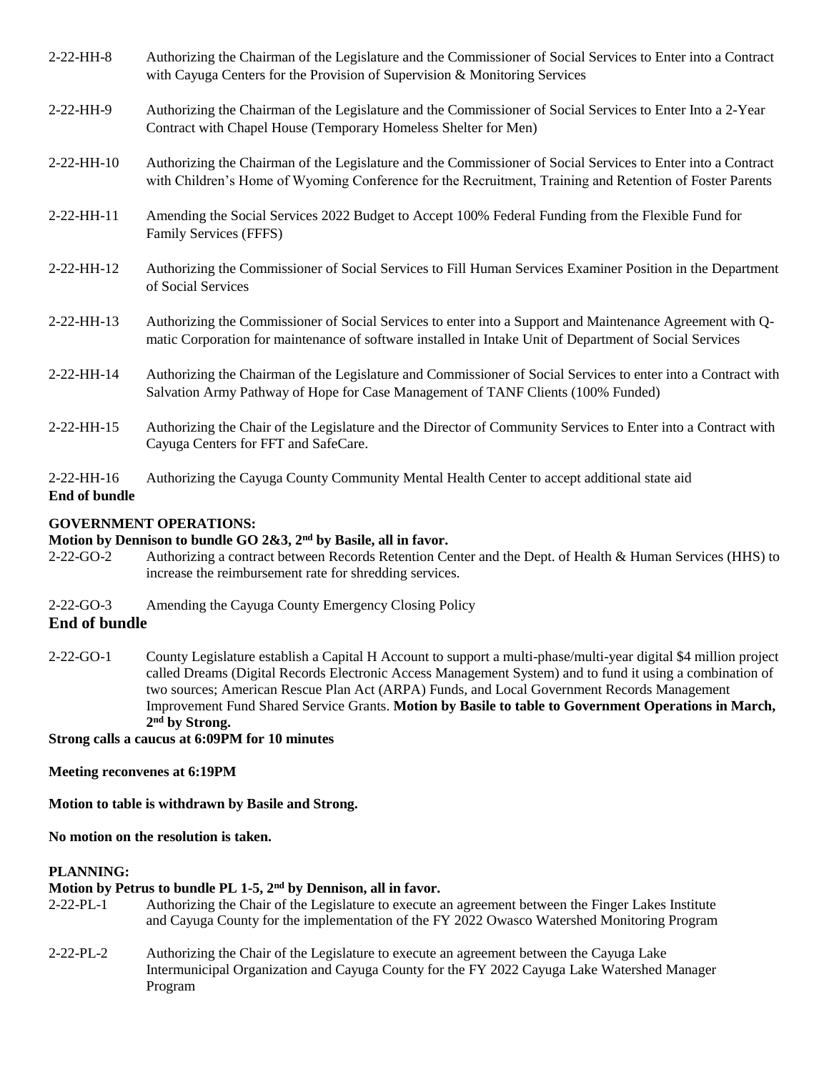| $2-22-HH-8$                   | Authorizing the Chairman of the Legislature and the Commissioner of Social Services to Enter into a Contract<br>with Cayuga Centers for the Provision of Supervision & Monitoring Services                               |
|-------------------------------|--------------------------------------------------------------------------------------------------------------------------------------------------------------------------------------------------------------------------|
| $2-22-HH-9$                   | Authorizing the Chairman of the Legislature and the Commissioner of Social Services to Enter Into a 2-Year<br>Contract with Chapel House (Temporary Homeless Shelter for Men)                                            |
| $2-22-HH-10$                  | Authorizing the Chairman of the Legislature and the Commissioner of Social Services to Enter into a Contract<br>with Children's Home of Wyoming Conference for the Recruitment, Training and Retention of Foster Parents |
| $2-22-HH-11$                  | Amending the Social Services 2022 Budget to Accept 100% Federal Funding from the Flexible Fund for<br><b>Family Services (FFFS)</b>                                                                                      |
| 2-22-HH-12                    | Authorizing the Commissioner of Social Services to Fill Human Services Examiner Position in the Department<br>of Social Services                                                                                         |
| $2-22-HH-13$                  | Authorizing the Commissioner of Social Services to enter into a Support and Maintenance Agreement with Q-<br>matic Corporation for maintenance of software installed in Intake Unit of Department of Social Services     |
| 2-22-HH-14                    | Authorizing the Chairman of the Legislature and Commissioner of Social Services to enter into a Contract with<br>Salvation Army Pathway of Hope for Case Management of TANF Clients (100% Funded)                        |
| 2-22-HH-15                    | Authorizing the Chair of the Legislature and the Director of Community Services to Enter into a Contract with<br>Cayuga Centers for FFT and SafeCare.                                                                    |
| $2-22-HH-16$<br>End of bundle | Authorizing the Cayuga County Community Mental Health Center to accept additional state aid                                                                                                                              |

# **GOVERNMENT OPERATIONS:**

## **Motion by Dennison to bundle GO 2&3, 2nd by Basile, all in favor.**

- 2-22-GO-2 Authorizing a contract between Records Retention Center and the Dept. of Health & Human Services (HHS) to increase the reimbursement rate for shredding services.
- 2-22-GO-3 Amending the Cayuga County Emergency Closing Policy

#### **End of bundle**

2-22-GO-1 County Legislature establish a Capital H Account to support a multi-phase/multi-year digital \$4 million project called Dreams (Digital Records Electronic Access Management System) and to fund it using a combination of two sources; American Rescue Plan Act (ARPA) Funds, and Local Government Records Management Improvement Fund Shared Service Grants. **Motion by Basile to table to Government Operations in March, 2 nd by Strong.** 

**Strong calls a caucus at 6:09PM for 10 minutes**

**Meeting reconvenes at 6:19PM** 

**Motion to table is withdrawn by Basile and Strong.** 

**No motion on the resolution is taken.** 

## **PLANNING:**

# **Motion by Petrus to bundle PL 1-5, 2nd by Dennison, all in favor.**

- 2-22-PL-1 Authorizing the Chair of the Legislature to execute an agreement between the Finger Lakes Institute and Cayuga County for the implementation of the FY 2022 Owasco Watershed Monitoring Program
- 2-22-PL-2 Authorizing the Chair of the Legislature to execute an agreement between the Cayuga Lake Intermunicipal Organization and Cayuga County for the FY 2022 Cayuga Lake Watershed Manager Program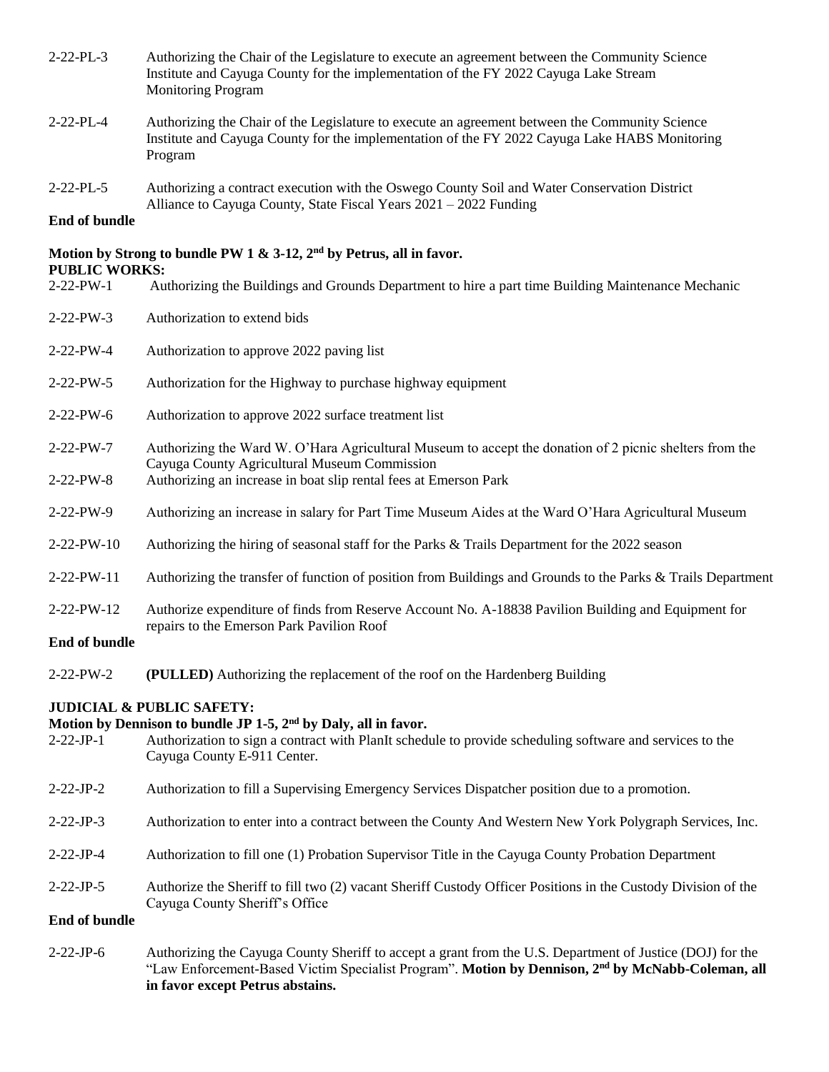| $2 - 22 - PL - 3$ | Authorizing the Chair of the Legislature to execute an agreement between the Community Science |
|-------------------|------------------------------------------------------------------------------------------------|
|                   | Institute and Cayuga County for the implementation of the FY 2022 Cayuga Lake Stream           |
|                   | <b>Monitoring Program</b>                                                                      |

- 2-22-PL-4 Authorizing the Chair of the Legislature to execute an agreement between the Community Science Institute and Cayuga County for the implementation of the FY 2022 Cayuga Lake HABS Monitoring Program
- 2-22-PL-5 Authorizing a contract execution with the Oswego County Soil and Water Conservation District Alliance to Cayuga County, State Fiscal Years 2021 – 2022 Funding

### **End of bundle**

#### **Motion by Strong to bundle PW 1 & 3-12, 2nd by Petrus, all in favor. PUBLIC WORKS:**

**in favor except Petrus abstains.** 

| 2-22-PW-1              | Authorizing the Buildings and Grounds Department to hire a part time Building Maintenance Mechanic                                                                                                                                                             |
|------------------------|----------------------------------------------------------------------------------------------------------------------------------------------------------------------------------------------------------------------------------------------------------------|
| 2-22-PW-3              | Authorization to extend bids                                                                                                                                                                                                                                   |
| 2-22-PW-4              | Authorization to approve 2022 paving list                                                                                                                                                                                                                      |
| $2-22-PW-5$            | Authorization for the Highway to purchase highway equipment                                                                                                                                                                                                    |
| $2 - 22 - PW - 6$      | Authorization to approve 2022 surface treatment list                                                                                                                                                                                                           |
| 2-22-PW-7<br>2-22-PW-8 | Authorizing the Ward W. O'Hara Agricultural Museum to accept the donation of 2 picnic shelters from the<br>Cayuga County Agricultural Museum Commission<br>Authorizing an increase in boat slip rental fees at Emerson Park                                    |
| 2-22-PW-9              | Authorizing an increase in salary for Part Time Museum Aides at the Ward O'Hara Agricultural Museum                                                                                                                                                            |
| 2-22-PW-10             | Authorizing the hiring of seasonal staff for the Parks & Trails Department for the 2022 season                                                                                                                                                                 |
| 2-22-PW-11             | Authorizing the transfer of function of position from Buildings and Grounds to the Parks & Trails Department                                                                                                                                                   |
| 2-22-PW-12             | Authorize expenditure of finds from Reserve Account No. A-18838 Pavilion Building and Equipment for                                                                                                                                                            |
| End of bundle          | repairs to the Emerson Park Pavilion Roof                                                                                                                                                                                                                      |
| 2-22-PW-2              | (PULLED) Authorizing the replacement of the roof on the Hardenberg Building                                                                                                                                                                                    |
| $2 - 22 - JP -1$       | <b>JUDICIAL &amp; PUBLIC SAFETY:</b><br>Motion by Dennison to bundle JP 1-5, 2 <sup>nd</sup> by Daly, all in favor.<br>Authorization to sign a contract with PlanIt schedule to provide scheduling software and services to the<br>Cayuga County E-911 Center. |
| $2 - 22 - JP - 2$      | Authorization to fill a Supervising Emergency Services Dispatcher position due to a promotion.                                                                                                                                                                 |
| $2 - 22 - JP -3$       | Authorization to enter into a contract between the County And Western New York Polygraph Services, Inc.                                                                                                                                                        |
| $2 - 22 - JP -4$       | Authorization to fill one (1) Probation Supervisor Title in the Cayuga County Probation Department                                                                                                                                                             |
| $2-22-JP-5$            | Authorize the Sheriff to fill two (2) vacant Sheriff Custody Officer Positions in the Custody Division of the<br>Cayuga County Sheriff's Office                                                                                                                |
| End of bundle          |                                                                                                                                                                                                                                                                |
| $2 - 22 - JP -6$       | Authorizing the Cayuga County Sheriff to accept a grant from the U.S. Department of Justice (DOJ) for the                                                                                                                                                      |

"Law Enforcement-Based Victim Specialist Program". **Motion by Dennison, 2nd by McNabb-Coleman, all**